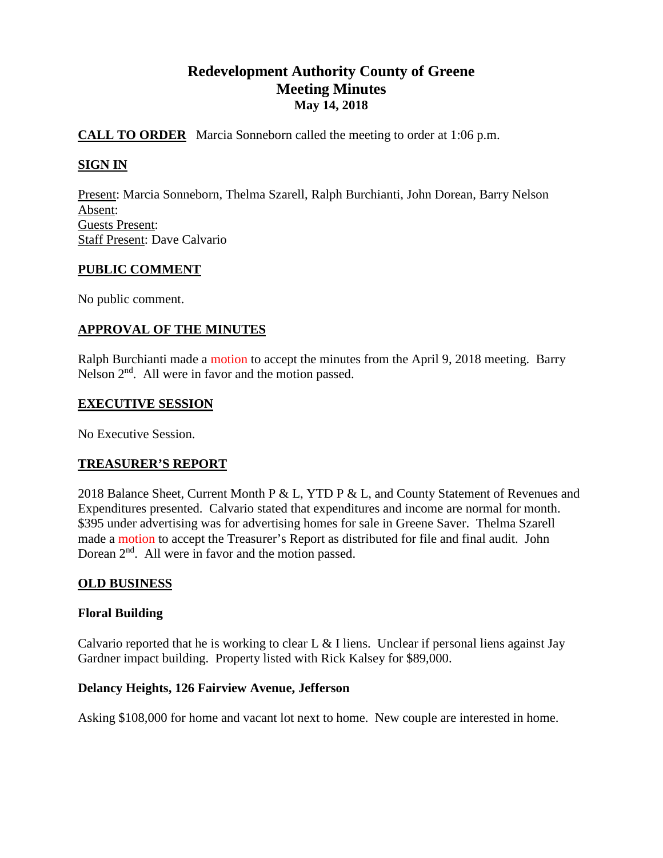# **Redevelopment Authority County of Greene Meeting Minutes May 14, 2018**

# **CALL TO ORDER** Marcia Sonneborn called the meeting to order at 1:06 p.m.

# **SIGN IN**

Present: Marcia Sonneborn, Thelma Szarell, Ralph Burchianti, John Dorean, Barry Nelson Absent: Guests Present: Staff Present: Dave Calvario

## **PUBLIC COMMENT**

No public comment.

# **APPROVAL OF THE MINUTES**

Ralph Burchianti made a motion to accept the minutes from the April 9, 2018 meeting. Barry Nelson  $2<sup>nd</sup>$ . All were in favor and the motion passed.

## **EXECUTIVE SESSION**

No Executive Session.

## **TREASURER'S REPORT**

2018 Balance Sheet, Current Month P & L, YTD P & L, and County Statement of Revenues and Expenditures presented. Calvario stated that expenditures and income are normal for month. \$395 under advertising was for advertising homes for sale in Greene Saver. Thelma Szarell made a motion to accept the Treasurer's Report as distributed for file and final audit. John Dorean  $2<sup>nd</sup>$ . All were in favor and the motion passed.

## **OLD BUSINESS**

## **Floral Building**

Calvario reported that he is working to clear L  $&$  I liens. Unclear if personal liens against Jay Gardner impact building. Property listed with Rick Kalsey for \$89,000.

## **Delancy Heights, 126 Fairview Avenue, Jefferson**

Asking \$108,000 for home and vacant lot next to home. New couple are interested in home.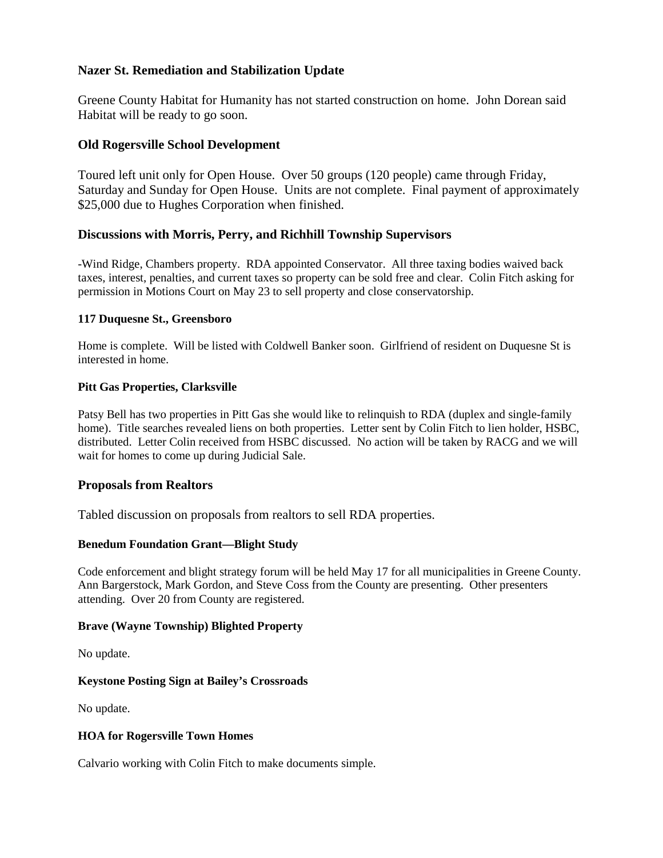# **Nazer St. Remediation and Stabilization Update**

Greene County Habitat for Humanity has not started construction on home. John Dorean said Habitat will be ready to go soon.

## **Old Rogersville School Development**

Toured left unit only for Open House. Over 50 groups (120 people) came through Friday, Saturday and Sunday for Open House. Units are not complete. Final payment of approximately \$25,000 due to Hughes Corporation when finished.

# **Discussions with Morris, Perry, and Richhill Township Supervisors**

-Wind Ridge, Chambers property. RDA appointed Conservator. All three taxing bodies waived back taxes, interest, penalties, and current taxes so property can be sold free and clear. Colin Fitch asking for permission in Motions Court on May 23 to sell property and close conservatorship.

## **117 Duquesne St., Greensboro**

Home is complete. Will be listed with Coldwell Banker soon. Girlfriend of resident on Duquesne St is interested in home.

#### **Pitt Gas Properties, Clarksville**

Patsy Bell has two properties in Pitt Gas she would like to relinquish to RDA (duplex and single-family home). Title searches revealed liens on both properties. Letter sent by Colin Fitch to lien holder, HSBC, distributed. Letter Colin received from HSBC discussed. No action will be taken by RACG and we will wait for homes to come up during Judicial Sale.

## **Proposals from Realtors**

Tabled discussion on proposals from realtors to sell RDA properties.

#### **Benedum Foundation Grant—Blight Study**

Code enforcement and blight strategy forum will be held May 17 for all municipalities in Greene County. Ann Bargerstock, Mark Gordon, and Steve Coss from the County are presenting. Other presenters attending. Over 20 from County are registered.

#### **Brave (Wayne Township) Blighted Property**

No update.

#### **Keystone Posting Sign at Bailey's Crossroads**

No update.

## **HOA for Rogersville Town Homes**

Calvario working with Colin Fitch to make documents simple.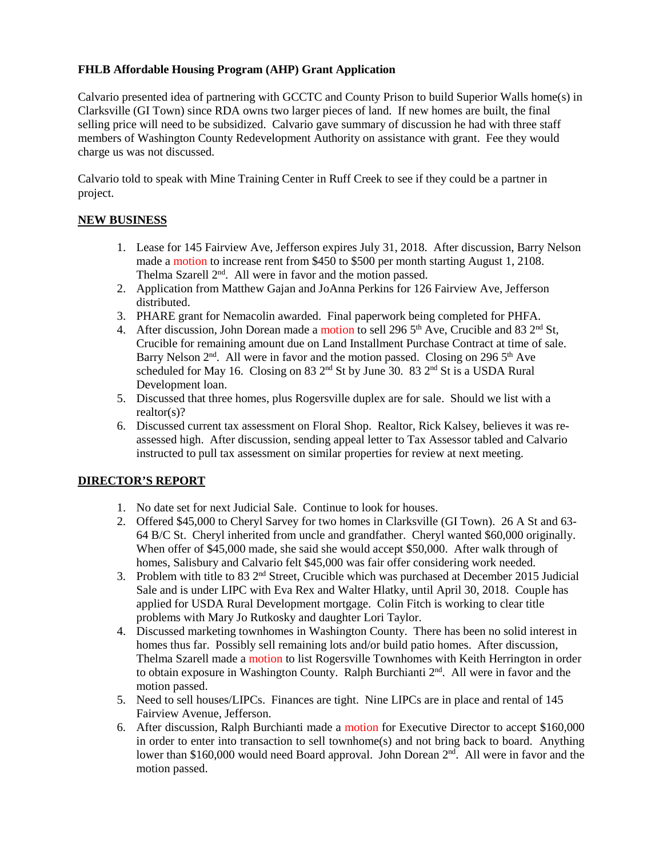## **FHLB Affordable Housing Program (AHP) Grant Application**

Calvario presented idea of partnering with GCCTC and County Prison to build Superior Walls home(s) in Clarksville (GI Town) since RDA owns two larger pieces of land. If new homes are built, the final selling price will need to be subsidized. Calvario gave summary of discussion he had with three staff members of Washington County Redevelopment Authority on assistance with grant. Fee they would charge us was not discussed.

Calvario told to speak with Mine Training Center in Ruff Creek to see if they could be a partner in project.

## **NEW BUSINESS**

- 1. Lease for 145 Fairview Ave, Jefferson expires July 31, 2018. After discussion, Barry Nelson made a motion to increase rent from \$450 to \$500 per month starting August 1, 2108. Thelma Szarell  $2<sup>nd</sup>$ . All were in favor and the motion passed.
- 2. Application from Matthew Gajan and JoAnna Perkins for 126 Fairview Ave, Jefferson distributed.
- 3. PHARE grant for Nemacolin awarded. Final paperwork being completed for PHFA.
- 4. After discussion, John Dorean made a motion to sell 296  $5<sup>th</sup>$  Ave, Crucible and 83  $2<sup>nd</sup>$  St, Crucible for remaining amount due on Land Installment Purchase Contract at time of sale. Barry Nelson  $2<sup>nd</sup>$ . All were in favor and the motion passed. Closing on 296  $5<sup>th</sup>$  Ave scheduled for May 16. Closing on 83  $2<sup>nd</sup>$  St by June 30. 83  $2<sup>nd</sup>$  St is a USDA Rural Development loan.
- 5. Discussed that three homes, plus Rogersville duplex are for sale. Should we list with a realtor(s)?
- 6. Discussed current tax assessment on Floral Shop. Realtor, Rick Kalsey, believes it was reassessed high. After discussion, sending appeal letter to Tax Assessor tabled and Calvario instructed to pull tax assessment on similar properties for review at next meeting.

## **DIRECTOR'S REPORT**

- 1. No date set for next Judicial Sale. Continue to look for houses.
- 2. Offered \$45,000 to Cheryl Sarvey for two homes in Clarksville (GI Town). 26 A St and 63- 64 B/C St. Cheryl inherited from uncle and grandfather. Cheryl wanted \$60,000 originally. When offer of \$45,000 made, she said she would accept \$50,000. After walk through of homes, Salisbury and Calvario felt \$45,000 was fair offer considering work needed.
- 3. Problem with title to 83  $2<sup>nd</sup>$  Street, Crucible which was purchased at December 2015 Judicial Sale and is under LIPC with Eva Rex and Walter Hlatky, until April 30, 2018. Couple has applied for USDA Rural Development mortgage. Colin Fitch is working to clear title problems with Mary Jo Rutkosky and daughter Lori Taylor.
- 4. Discussed marketing townhomes in Washington County. There has been no solid interest in homes thus far. Possibly sell remaining lots and/or build patio homes. After discussion, Thelma Szarell made a motion to list Rogersville Townhomes with Keith Herrington in order to obtain exposure in Washington County. Ralph Burchianti 2<sup>nd</sup>. All were in favor and the motion passed.
- 5. Need to sell houses/LIPCs. Finances are tight. Nine LIPCs are in place and rental of 145 Fairview Avenue, Jefferson.
- 6. After discussion, Ralph Burchianti made a motion for Executive Director to accept \$160,000 in order to enter into transaction to sell townhome(s) and not bring back to board. Anything lower than \$160,000 would need Board approval. John Dorean 2<sup>nd</sup>. All were in favor and the motion passed.